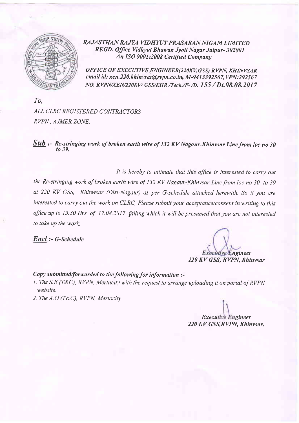

RAJASTHAN RAJYA VIDHYUT PRASARAN NIGAM LIMITED REGD. Office Vidhyut Bhawan Jyoti Nagar Jaipur- 302001 An ISQ 9001:2008 Certified Company

OFFICE OF EXECUTIVE ENGINEER(220KV, GSS) RVPN, KHINVSAR email id: xen.220. khinvsar@rvpn.co.in, M-9413392567, VPN:292567 NO. RVPN/XEN/220KV/ GSS/KHR /Tech./F-/D. 155 / Dt.08.08.2017

To, ALL CLRC REGISTERED CONTRACTORS RVPN, AJMER ZONE.

Sub :- Re-stringing work of broken earth wire of 132 KV Nagaur-Khinvsar Line from loc no 30 to 39.

It is hereby to intimate that this office is interested to carry out the Re-stringing work of broken earth wire of 132 KV Nagaur-Khinvsar Line from loc no 30 to 39 at 220 KV GSS, Khinwsar (Dist-Nagaur) as per G-schedule attached herewith. So if you are interested to carry out the work on CLRC, Please submit your acceptance/consent in writing to this office up to 15.30 Hrs. of 17.08.2017 failing which it will be presumed that you are not interested to take up the work.

Encl :- G-Schedule

'ngineer

220 KV GSS, RVPN, Khinvsar

### Copy submitted/forwarded to the following for information  $:$

- 1. The S.E (T&C), RVPN, Mertacity with the request to arrange uploading it on portal of RVPN website.
- 2. The  $A.O(T\&C)$ , RVPN, Mertacity.

**Executive Engineer** 220 KV GSS, RVPN, Khinvsar.